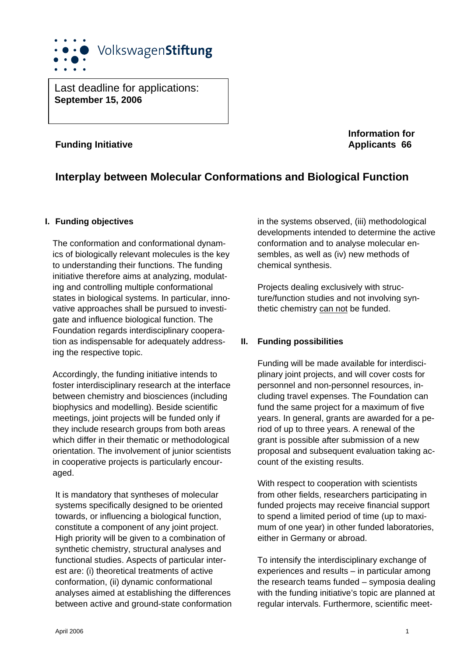

Last deadline for applications: **September 15, 2006** 

# **Funding Initiative Applicants 66 Applicants 66**

**Information for** 

# **Interplay between Molecular Conformations and Biological Function**

#### **I. Funding objectives**

The conformation and conformational dynamics of biologically relevant molecules is the key to understanding their functions. The funding initiative therefore aims at analyzing, modulating and controlling multiple conformational states in biological systems. In particular, innovative approaches shall be pursued to investigate and influence biological function. The Foundation regards interdisciplinary cooperation as indispensable for adequately addressing the respective topic.

Accordingly, the funding initiative intends to foster interdisciplinary research at the interface between chemistry and biosciences (including biophysics and modelling). Beside scientific meetings, joint projects will be funded only if they include research groups from both areas which differ in their thematic or methodological orientation. The involvement of junior scientists in cooperative projects is particularly encouraged.

 It is mandatory that syntheses of molecular systems specifically designed to be oriented towards, or influencing a biological function, constitute a component of any joint project. High priority will be given to a combination of synthetic chemistry, structural analyses and functional studies. Aspects of particular interest are: (i) theoretical treatments of active conformation, (ii) dynamic conformational analyses aimed at establishing the differences between active and ground-state conformation in the systems observed, (iii) methodological developments intended to determine the active conformation and to analyse molecular ensembles, as well as (iv) new methods of chemical synthesis.

 Projects dealing exclusively with structure/function studies and not involving synthetic chemistry can not be funded.

## **II. Funding possibilities**

 Funding will be made available for interdisciplinary joint projects, and will cover costs for personnel and non-personnel resources, including travel expenses. The Foundation can fund the same project for a maximum of five years. In general, grants are awarded for a period of up to three years. A renewal of the grant is possible after submission of a new proposal and subsequent evaluation taking account of the existing results.

 With respect to cooperation with scientists from other fields, researchers participating in funded projects may receive financial support to spend a limited period of time (up to maximum of one year) in other funded laboratories, either in Germany or abroad.

 To intensify the interdisciplinary exchange of experiences and results – in particular among the research teams funded – symposia dealing with the funding initiative's topic are planned at regular intervals. Furthermore, scientific meet-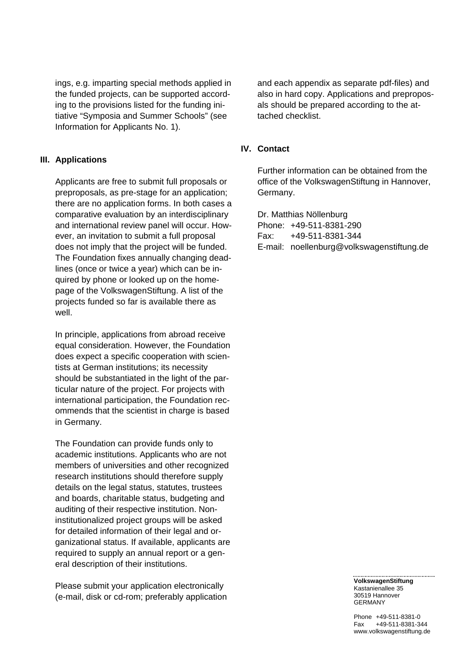ings, e.g. imparting special methods applied in the funded projects, can be supported according to the provisions listed for the funding initiative "Symposia and Summer Schools" (see Information for Applicants No. 1).

#### **III. Applications**

 Applicants are free to submit full proposals or preproposals, as pre-stage for an application; there are no application forms. In both cases a comparative evaluation by an interdisciplinary and international review panel will occur. However, an invitation to submit a full proposal does not imply that the project will be funded. The Foundation fixes annually changing deadlines (once or twice a year) which can be inquired by phone or looked up on the homepage of the VolkswagenStiftung. A list of the projects funded so far is available there as well.

 In principle, applications from abroad receive equal consideration. However, the Foundation does expect a specific cooperation with scientists at German institutions; its necessity should be substantiated in the light of the particular nature of the project. For projects with international participation, the Foundation recommends that the scientist in charge is based in Germany.

 The Foundation can provide funds only to academic institutions. Applicants who are not members of universities and other recognized research institutions should therefore supply details on the legal status, statutes, trustees and boards, charitable status, budgeting and auditing of their respective institution. Noninstitutionalized project groups will be asked for detailed information of their legal and organizational status. If available, applicants are required to supply an annual report or a general description of their institutions.

 Please submit your application electronically (e-mail, disk or cd-rom; preferably application and each appendix as separate pdf-files) and also in hard copy. Applications and preproposals should be prepared according to the attached checklist.

#### **IV. Contact**

Further information can be obtained from the office of the VolkswagenStiftung in Hannover, Germany.

 Dr. Matthias Nöllenburg Phone: +49-511-8381-290 Fax: +49-511-8381-344 E-mail: noellenburg@volkswagenstiftung.de

> **VolkswagenStiftung**  Kastanienallee 35 30519 Hannover GERMANY

Phone +49-511-8381-0 Fax +49-511-8381-344 www.volkswagenstiftung.de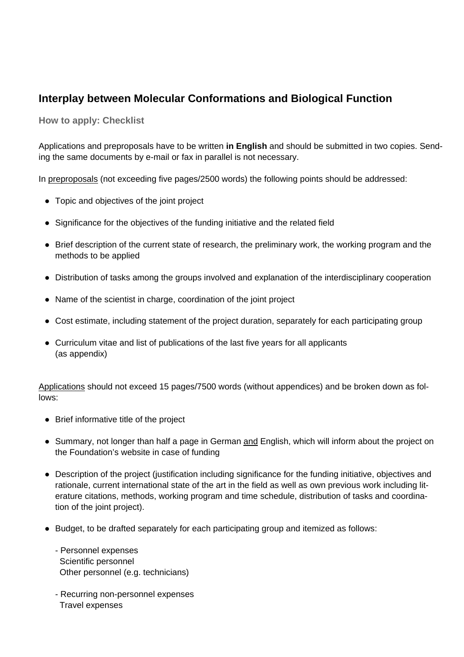# **Interplay between Molecular Conformations and Biological Function**

**How to apply: Checklist**

Applications and preproposals have to be written **in English** and should be submitted in two copies. Sending the same documents by e-mail or fax in parallel is not necessary.

In preproposals (not exceeding five pages/2500 words) the following points should be addressed:

- Topic and objectives of the joint project
- Significance for the objectives of the funding initiative and the related field
- Brief description of the current state of research, the preliminary work, the working program and the methods to be applied
- Distribution of tasks among the groups involved and explanation of the interdisciplinary cooperation
- Name of the scientist in charge, coordination of the joint project
- Cost estimate, including statement of the project duration, separately for each participating group
- Curriculum vitae and list of publications of the last five years for all applicants (as appendix)

Applications should not exceed 15 pages/7500 words (without appendices) and be broken down as follows:

- Brief informative title of the project
- Summary, not longer than half a page in German and English, which will inform about the project on the Foundation's website in case of funding
- Description of the project (justification including significance for the funding initiative, objectives and rationale, current international state of the art in the field as well as own previous work including literature citations, methods, working program and time schedule, distribution of tasks and coordination of the joint project).
- Budget, to be drafted separately for each participating group and itemized as follows:
	- Personnel expenses Scientific personnel Other personnel (e.g. technicians)
	- Recurring non-personnel expenses Travel expenses